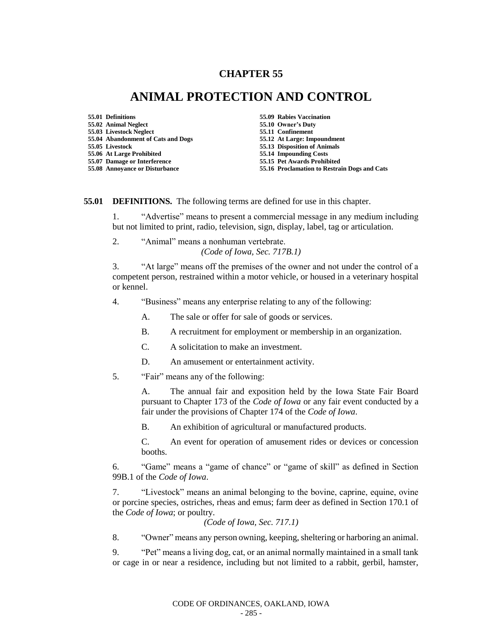## **CHAPTER 55**

## **ANIMAL PROTECTION AND CONTROL**

- **55.01 Definitions 55.09 Rabies Vaccination 55.02 Animal Neglect 55.10 Owner's Duty 55.03 Livestock Neglect 55.11 Confinement 55.04 Abandonment of Cats and Dogs 55.12 At Large: Impoundment 55.06 At Large Prohibited 55.14 Impounding Costs 55.07 Damage or Interference** 
	-
	-
	-
	-
	- **55.05 Livestock 55.13 Disposition of Animals**
	-
- **55.08 Annoyance or Disturbance 55.16 Proclamation to Restrain Dogs and Cats**

**55.01 DEFINITIONS.** The following terms are defined for use in this chapter.

1. "Advertise" means to present a commercial message in any medium including but not limited to print, radio, television, sign, display, label, tag or articulation.

2. "Animal" means a nonhuman vertebrate.

*(Code of Iowa, Sec. 717B.1)*

3. "At large" means off the premises of the owner and not under the control of a competent person, restrained within a motor vehicle, or housed in a veterinary hospital or kennel.

4. "Business" means any enterprise relating to any of the following:

A. The sale or offer for sale of goods or services.

- B. A recruitment for employment or membership in an organization.
- C. A solicitation to make an investment.
- D. An amusement or entertainment activity.
- 5. "Fair" means any of the following:

A. The annual fair and exposition held by the Iowa State Fair Board pursuant to Chapter 173 of the *Code of Iowa* or any fair event conducted by a fair under the provisions of Chapter 174 of the *Code of Iowa*.

B. An exhibition of agricultural or manufactured products.

C. An event for operation of amusement rides or devices or concession booths.

6. "Game" means a "game of chance" or "game of skill" as defined in Section 99B.1 of the *Code of Iowa*.

7. "Livestock" means an animal belonging to the bovine, caprine, equine, ovine or porcine species, ostriches, rheas and emus; farm deer as defined in Section 170.1 of the *Code of Iowa*; or poultry.

*(Code of Iowa, Sec. 717.1)*

8. "Owner" means any person owning, keeping, sheltering or harboring an animal.

9. "Pet" means a living dog, cat, or an animal normally maintained in a small tank or cage in or near a residence, including but not limited to a rabbit, gerbil, hamster,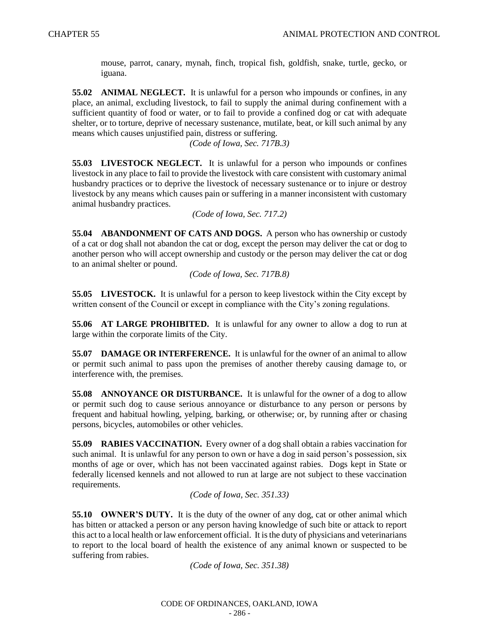mouse, parrot, canary, mynah, finch, tropical fish, goldfish, snake, turtle, gecko, or iguana.

**55.02 ANIMAL NEGLECT.** It is unlawful for a person who impounds or confines, in any place, an animal, excluding livestock, to fail to supply the animal during confinement with a sufficient quantity of food or water, or to fail to provide a confined dog or cat with adequate shelter, or to torture, deprive of necessary sustenance, mutilate, beat, or kill such animal by any means which causes unjustified pain, distress or suffering.

*(Code of Iowa, Sec. 717B.3)*

**55.03 LIVESTOCK NEGLECT.** It is unlawful for a person who impounds or confines livestock in any place to fail to provide the livestock with care consistent with customary animal husbandry practices or to deprive the livestock of necessary sustenance or to injure or destroy livestock by any means which causes pain or suffering in a manner inconsistent with customary animal husbandry practices.

*(Code of Iowa, Sec. 717.2)*

**55.04 ABANDONMENT OF CATS AND DOGS.** A person who has ownership or custody of a cat or dog shall not abandon the cat or dog, except the person may deliver the cat or dog to another person who will accept ownership and custody or the person may deliver the cat or dog to an animal shelter or pound.

*(Code of Iowa, Sec. 717B.8)*

**55.05 LIVESTOCK.** It is unlawful for a person to keep livestock within the City except by written consent of the Council or except in compliance with the City's zoning regulations.

**55.06 AT LARGE PROHIBITED.** It is unlawful for any owner to allow a dog to run at large within the corporate limits of the City.

**55.07 DAMAGE OR INTERFERENCE.** It is unlawful for the owner of an animal to allow or permit such animal to pass upon the premises of another thereby causing damage to, or interference with, the premises.

**55.08 ANNOYANCE OR DISTURBANCE.** It is unlawful for the owner of a dog to allow or permit such dog to cause serious annoyance or disturbance to any person or persons by frequent and habitual howling, yelping, barking, or otherwise; or, by running after or chasing persons, bicycles, automobiles or other vehicles.

**55.09 RABIES VACCINATION.** Every owner of a dog shall obtain a rabies vaccination for such animal. It is unlawful for any person to own or have a dog in said person's possession, six months of age or over, which has not been vaccinated against rabies. Dogs kept in State or federally licensed kennels and not allowed to run at large are not subject to these vaccination requirements.

*(Code of Iowa, Sec. 351.33)*

**55.10 OWNER'S DUTY.** It is the duty of the owner of any dog, cat or other animal which has bitten or attacked a person or any person having knowledge of such bite or attack to report this act to a local health or law enforcement official. It is the duty of physicians and veterinarians to report to the local board of health the existence of any animal known or suspected to be suffering from rabies.

*(Code of Iowa, Sec. 351.38)*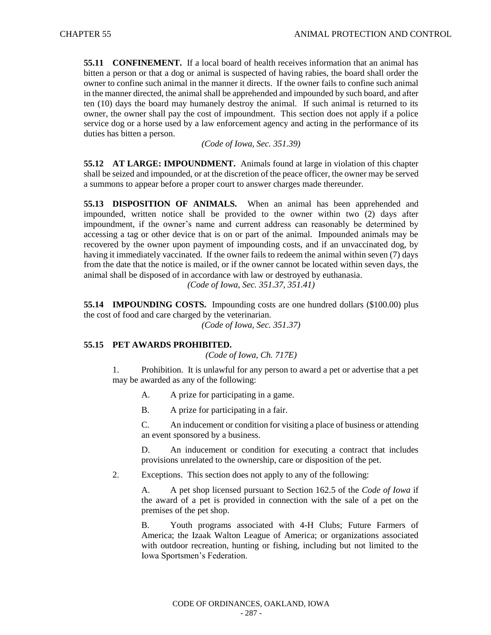**55.11 CONFINEMENT.** If a local board of health receives information that an animal has bitten a person or that a dog or animal is suspected of having rabies, the board shall order the owner to confine such animal in the manner it directs. If the owner fails to confine such animal in the manner directed, the animal shall be apprehended and impounded by such board, and after ten (10) days the board may humanely destroy the animal. If such animal is returned to its owner, the owner shall pay the cost of impoundment. This section does not apply if a police service dog or a horse used by a law enforcement agency and acting in the performance of its duties has bitten a person.

*(Code of Iowa, Sec. 351.39)*

**55.12 AT LARGE: IMPOUNDMENT.** Animals found at large in violation of this chapter shall be seized and impounded, or at the discretion of the peace officer, the owner may be served a summons to appear before a proper court to answer charges made thereunder.

**55.13 DISPOSITION OF ANIMALS.** When an animal has been apprehended and impounded, written notice shall be provided to the owner within two (2) days after impoundment, if the owner's name and current address can reasonably be determined by accessing a tag or other device that is on or part of the animal. Impounded animals may be recovered by the owner upon payment of impounding costs, and if an unvaccinated dog, by having it immediately vaccinated. If the owner fails to redeem the animal within seven (7) days from the date that the notice is mailed, or if the owner cannot be located within seven days, the animal shall be disposed of in accordance with law or destroyed by euthanasia.

*(Code of Iowa, Sec. 351.37, 351.41)*

**55.14 IMPOUNDING COSTS.** Impounding costs are one hundred dollars (\$100.00) plus the cost of food and care charged by the veterinarian.

*(Code of Iowa, Sec. 351.37)*

## **55.15 PET AWARDS PROHIBITED.**

*(Code of Iowa, Ch. 717E)*

1. Prohibition. It is unlawful for any person to award a pet or advertise that a pet may be awarded as any of the following:

A. A prize for participating in a game.

B. A prize for participating in a fair.

C. An inducement or condition for visiting a place of business or attending an event sponsored by a business.

D. An inducement or condition for executing a contract that includes provisions unrelated to the ownership, care or disposition of the pet.

2. Exceptions. This section does not apply to any of the following:

A. A pet shop licensed pursuant to Section 162.5 of the *Code of Iowa* if the award of a pet is provided in connection with the sale of a pet on the premises of the pet shop.

B. Youth programs associated with 4-H Clubs; Future Farmers of America; the Izaak Walton League of America; or organizations associated with outdoor recreation, hunting or fishing, including but not limited to the Iowa Sportsmen's Federation.